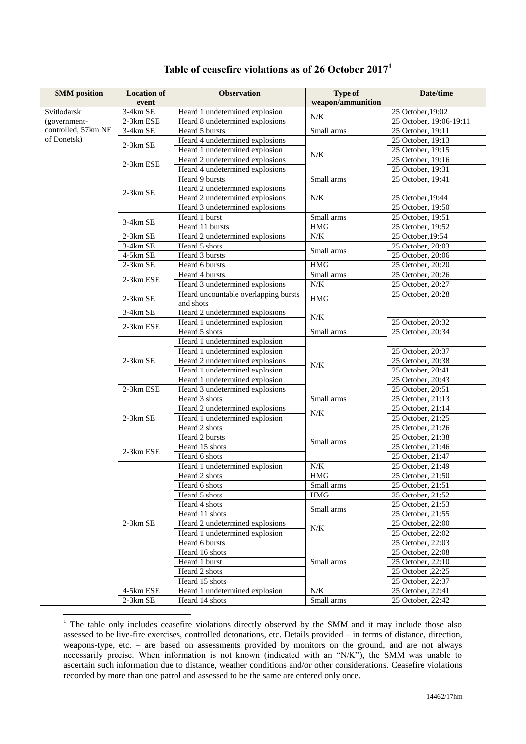| <b>SMM</b> position                | <b>Location of</b> | <b>Observation</b>                                | <b>Type of</b>    | Date/time               |
|------------------------------------|--------------------|---------------------------------------------------|-------------------|-------------------------|
|                                    | event              |                                                   | weapon/ammunition |                         |
| Svitlodarsk                        | 3-4km SE           | Heard 1 undetermined explosion                    | N/K               | 25 October, 19:02       |
| (government-                       | 2-3km ESE          | Heard 8 undetermined explosions                   |                   | 25 October, 19:06-19:11 |
| controlled, 57km NE<br>of Donetsk) | 3-4km SE           | Heard 5 bursts                                    | Small arms        | 25 October, 19:11       |
|                                    | 2-3km SE           | Heard 4 undetermined explosions                   | N/K               | 25 October, 19:13       |
|                                    |                    | Heard 1 undetermined explosion                    |                   | 25 October, 19:15       |
|                                    | 2-3km ESE          | Heard 2 undetermined explosions                   |                   | 25 October, 19:16       |
|                                    |                    | Heard 4 undetermined explosions                   |                   | 25 October, 19:31       |
|                                    |                    | Heard 9 bursts                                    | Small arms        | 25 October, 19:41       |
|                                    | 2-3km SE           | Heard 2 undetermined explosions                   |                   |                         |
|                                    |                    | Heard 2 undetermined explosions                   | N/K               | 25 October, 19:44       |
|                                    |                    | Heard 3 undetermined explosions                   |                   | 25 October, 19:50       |
|                                    | 3-4km SE           | Heard 1 burst                                     | Small arms        | 25 October, 19:51       |
|                                    |                    | Heard 11 bursts                                   | $\rm HMG$         | 25 October, 19:52       |
|                                    | $2-3km$ $\rm SE$   | Heard 2 undetermined explosions                   | N/K               | 25 October, 19:54       |
|                                    | 3-4km SE           | Heard 5 shots                                     | Small arms        | 25 October, 20:03       |
|                                    | 4-5km SE           | Heard 3 bursts                                    |                   | 25 October, 20:06       |
|                                    | $2-3km$ SE         | Heard 6 bursts                                    | <b>HMG</b>        | 25 October, 20:20       |
|                                    | 2-3km ESE          | Heard 4 bursts                                    | Small arms        | 25 October, 20:26       |
|                                    |                    | Heard 3 undetermined explosions                   | N/K               | 25 October, 20:27       |
|                                    | 2-3km SE           | Heard uncountable overlapping bursts<br>and shots | <b>HMG</b>        | 25 October, 20:28       |
|                                    | 3-4km SE           | Heard 2 undetermined explosions                   |                   |                         |
|                                    |                    | Heard 1 undetermined explosion                    | $N\!/\!K$         | 25 October, 20:32       |
|                                    | 2-3km ESE          | Heard 5 shots                                     | Small arms        | 25 October, 20:34       |
|                                    |                    | Heard 1 undetermined explosion                    |                   |                         |
|                                    |                    | Heard 1 undetermined explosion                    | N/K               | 25 October, 20:37       |
|                                    | 2-3km SE           | Heard 2 undetermined explosions                   |                   | 25 October, 20:38       |
|                                    |                    | Heard 1 undetermined explosion                    |                   | 25 October, 20:41       |
|                                    |                    | Heard 1 undetermined explosion                    |                   | 25 October, 20:43       |
|                                    | 2-3km ESE          | Heard 3 undetermined explosions                   |                   | 25 October, 20:51       |
|                                    |                    | Heard 3 shots                                     | Small arms        | 25 October, 21:13       |
|                                    | 2-3km SE           | Heard 2 undetermined explosions                   | $N\!/\!K$         | 25 October, 21:14       |
|                                    |                    | Heard 1 undetermined explosion                    |                   | $25$ October, 21:25     |
|                                    |                    | Heard 2 shots                                     | Small arms        | 25 October, 21:26       |
|                                    |                    | Heard 2 bursts                                    |                   | 25 October, 21:38       |
|                                    | 2-3km ESE          | Heard 15 shots                                    |                   | 25 October, 21:46       |
|                                    |                    | Heard 6 shots                                     |                   | 25 October, 21:47       |
|                                    |                    | Heard 1 undetermined explosion                    | N/K               | 25 October, 21:49       |
|                                    |                    | Heard 2 shots                                     | $\rm HMG$         | 25 October, 21:50       |
|                                    |                    | Heard 6 shots                                     | Small arms        | 25 October, 21:51       |
|                                    |                    | Heard 5 shots                                     | $\rm HMG$         | 25 October, 21:52       |
|                                    |                    | Heard 4 shots                                     | Small arms        | 25 October, 21:53       |
|                                    |                    | Heard 11 shots                                    |                   | 25 October, 21:55       |
|                                    | $2-3km$ SE         | Heard 2 undetermined explosions                   | N/K               | 25 October, 22:00       |
|                                    |                    | Heard 1 undetermined explosion                    |                   | 25 October, 22:02       |
|                                    |                    | Heard 6 bursts                                    | Small arms        | 25 October, 22:03       |
|                                    |                    | Heard 16 shots                                    |                   | 25 October, 22:08       |
|                                    |                    | Heard 1 burst                                     |                   | 25 October, 22:10       |
|                                    |                    | Heard 2 shots                                     |                   | 25:25, 22:25 October    |
|                                    |                    | Heard 15 shots                                    |                   | 25 October, 22:37       |
|                                    | 4-5km ESE          | Heard 1 undetermined explosion                    | N/K               | 25 October, 22:41       |
|                                    | 2-3km SE           | Heard 14 shots                                    | Small arms        | 25 October, 22:42       |

## **Table of ceasefire violations as of 26 October 2017<sup>1</sup>**

1

 $1$  The table only includes ceasefire violations directly observed by the SMM and it may include those also assessed to be live-fire exercises, controlled detonations, etc. Details provided – in terms of distance, direction, weapons-type, etc. – are based on assessments provided by monitors on the ground, and are not always necessarily precise. When information is not known (indicated with an "N/K"), the SMM was unable to ascertain such information due to distance, weather conditions and/or other considerations. Ceasefire violations recorded by more than one patrol and assessed to be the same are entered only once.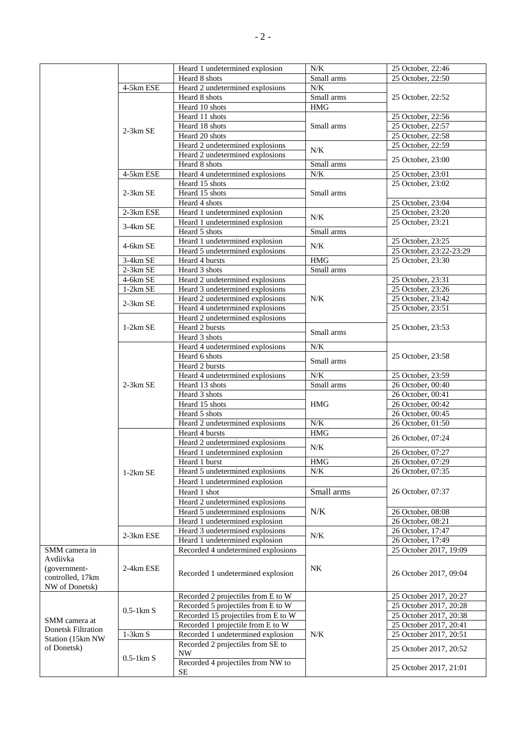|                           |                     | Heard 1 undetermined explosion                 | N/K        | 25 October, 22:46       |
|---------------------------|---------------------|------------------------------------------------|------------|-------------------------|
|                           |                     |                                                |            |                         |
|                           |                     | Heard 8 shots                                  | Small arms | 25 October, 22:50       |
|                           | 4-5km ESE           | Heard 2 undetermined explosions                | N/K        |                         |
|                           |                     | Heard 8 shots                                  | Small arms | 25 October, 22:52       |
|                           |                     | Heard 10 shots                                 | <b>HMG</b> |                         |
|                           |                     | Heard 11 shots                                 |            | 25 October, 22:56       |
|                           |                     | Heard 18 shots                                 | Small arms | 25 October, 22:57       |
|                           | $2-3km$ SE          | Heard 20 shots                                 |            | 25 October, 22:58       |
|                           |                     | Heard 2 undetermined explosions                |            | 25 October, 22:59       |
|                           |                     |                                                | N/K        |                         |
|                           |                     | Heard 2 undetermined explosions                |            | 25 October, 23:00       |
|                           |                     | Heard 8 shots                                  | Small arms |                         |
|                           | 4-5km ESE           | Heard 4 undetermined explosions                | N/K        | 25 October, 23:01       |
|                           |                     | Heard 15 shots                                 |            | 25 October, 23:02       |
|                           | 2-3km SE            | Heard 15 shots                                 | Small arms |                         |
|                           |                     | Heard 4 shots                                  |            | 25 October, 23:04       |
|                           | 2-3km ESE           | Heard 1 undetermined explosion                 |            | 25 October, 23:20       |
|                           |                     | Heard 1 undetermined explosion                 | N/K        | 25 October, 23:21       |
|                           | 3-4km SE            | Heard 5 shots                                  | Small arms |                         |
|                           |                     | Heard 1 undetermined explosion                 |            | 25 October, 23:25       |
|                           | 4-6km SE            |                                                | N/K        |                         |
|                           |                     | Heard 5 undetermined explosions                |            | 25 October, 23:22-23:29 |
|                           | 3-4km SE            | Heard 4 bursts                                 | <b>HMG</b> | 25 October, 23:30       |
|                           | 2-3km SE            | Heard 3 shots                                  | Small arms |                         |
|                           | 4-6km SE            | Heard 2 undetermined explosions                |            | 25 October, 23:31       |
|                           | 1-2km SE            | Heard 3 undetermined explosions                |            | 25 October, 23:26       |
|                           |                     | Heard 2 undetermined explosions                | $N\!/\!K$  | 25 October, 23:42       |
|                           | 2-3km SE            | Heard 4 undetermined explosions                |            | 25 October, 23:51       |
|                           |                     | Heard 2 undetermined explosions                |            |                         |
|                           | $1-2km$ SE          | Heard 2 bursts                                 |            |                         |
|                           |                     |                                                | Small arms | 25 October, 23:53       |
|                           |                     | Heard 3 shots                                  |            |                         |
|                           |                     | Heard 4 undetermined explosions                | $N\!/\!K$  |                         |
|                           |                     | Heard 6 shots                                  | Small arms | 25 October, 23:58       |
|                           |                     |                                                |            |                         |
|                           |                     | Heard 2 bursts                                 |            |                         |
|                           |                     | Heard 4 undetermined explosions                | N/K        | 25 October, 23:59       |
|                           | $2-3km$ SE          |                                                |            |                         |
|                           |                     | Heard 13 shots                                 | Small arms | 26 October, 00:40       |
|                           |                     | Heard 3 shots                                  |            | 26 October, 00:41       |
|                           |                     | Heard 15 shots                                 | <b>HMG</b> | $26$ October, 00:42     |
|                           |                     | Heard 5 shots                                  |            | 26 October, 00:45       |
|                           |                     | Heard 2 undetermined explosions                | $N/K$      | 26 October, 01:50       |
|                           |                     | Heard 4 bursts                                 | $\rm HMG$  | 26 October, 07:24       |
|                           |                     | Heard 2 undetermined explosions                |            |                         |
|                           |                     | Heard 1 undetermined explosion                 | N/K        | 26 October, 07:27       |
|                           |                     | Heard 1 burst                                  | <b>HMG</b> | 26 October, 07:29       |
|                           | $1-2km$ SE          | Heard 5 undetermined explosions                | N/K        | 26 October, 07:35       |
|                           |                     | Heard 1 undetermined explosion                 |            |                         |
|                           |                     |                                                |            |                         |
|                           |                     | Heard 1 shot                                   | Small arms | 26 October, 07:37       |
|                           |                     | Heard 2 undetermined explosions                |            |                         |
|                           |                     | Heard 5 undetermined explosions                | $N/K$      | 26 October, 08:08       |
|                           |                     | Heard 1 undetermined explosion                 |            | 26 October, 08:21       |
|                           |                     | Heard 3 undetermined explosions                |            | 26 October, 17:47       |
|                           | 2-3km ESE           | Heard 1 undetermined explosion                 | N/K        | 26 October, 17:49       |
| SMM camera in             |                     | Recorded 4 undetermined explosions             |            | 25 October 2017, 19:09  |
| Avdiivka                  |                     |                                                |            |                         |
| (government-              | 2-4km ESE           |                                                | NK         |                         |
| controlled, 17km          |                     | Recorded 1 undetermined explosion              |            | 26 October 2017, 09:04  |
| NW of Donetsk)            |                     |                                                |            |                         |
|                           |                     | Recorded 2 projectiles from E to W             |            | 25 October 2017, 20:27  |
|                           |                     |                                                |            |                         |
|                           | $0.5-1 \text{km}$ S | Recorded 5 projectiles from E to W             |            | 25 October 2017, 20:28  |
| SMM camera at             |                     | Recorded 15 projectiles from E to W            |            | 25 October 2017, 20:38  |
| <b>Donetsk Filtration</b> |                     | Recorded 1 projectile from E to W              |            | 25 October 2017, 20:41  |
| Station (15km NW          | $1-3km S$           | Recorded 1 undetermined explosion              | N/K        | 25 October 2017, 20:51  |
| of Donetsk)               |                     | Recorded 2 projectiles from SE to              |            | 25 October 2017, 20:52  |
|                           |                     | $\ensuremath{\text{NW}}$                       |            |                         |
|                           | $0.5-1 \text{km} S$ | Recorded 4 projectiles from NW to<br><b>SE</b> |            | 25 October 2017, 21:01  |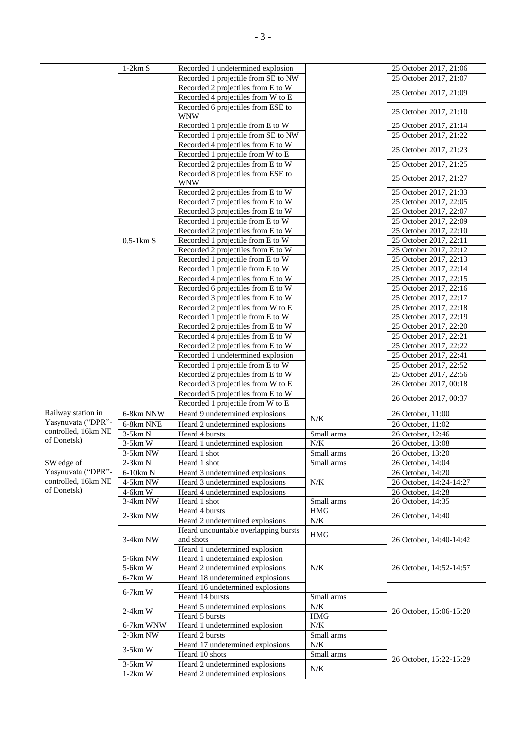|                                  | $1-2km S$           | Recorded 1 undetermined explosion    |            | 25 October 2017, 21:06  |
|----------------------------------|---------------------|--------------------------------------|------------|-------------------------|
|                                  |                     | Recorded 1 projectile from SE to NW  |            | 25 October 2017, 21:07  |
|                                  |                     | Recorded 2 projectiles from E to W   |            |                         |
|                                  |                     | Recorded 4 projectiles from W to E   |            | 25 October 2017, 21:09  |
|                                  |                     | Recorded 6 projectiles from ESE to   |            |                         |
|                                  |                     |                                      |            | 25 October 2017, 21:10  |
|                                  |                     | <b>WNW</b>                           |            |                         |
|                                  |                     | Recorded 1 projectile from E to W    |            | 25 October 2017, 21:14  |
|                                  |                     | Recorded 1 projectile from SE to NW  |            | 25 October 2017, 21:22  |
|                                  |                     | Recorded 4 projectiles from E to W   |            | 25 October 2017, 21:23  |
|                                  |                     | Recorded 1 projectile from W to E    |            |                         |
|                                  |                     | Recorded 2 projectiles from E to W   |            | 25 October 2017, 21:25  |
|                                  |                     | Recorded 8 projectiles from ESE to   |            | 25 October 2017, 21:27  |
|                                  |                     | <b>WNW</b>                           |            |                         |
|                                  |                     | Recorded 2 projectiles from E to W   |            | 25 October 2017, 21:33  |
|                                  |                     | Recorded 7 projectiles from E to W   |            | 25 October 2017, 22:05  |
|                                  |                     | Recorded 3 projectiles from E to W   |            | 25 October 2017, 22:07  |
|                                  |                     | Recorded 1 projectile from E to W    |            | 25 October 2017, 22:09  |
|                                  |                     | Recorded 2 projectiles from E to W   |            | 25 October 2017, 22:10  |
|                                  | $0.5-1 \text{km} S$ | Recorded 1 projectile from E to W    |            | 25 October 2017, 22:11  |
|                                  |                     | Recorded 2 projectiles from E to W   |            | 25 October 2017, 22:12  |
|                                  |                     | Recorded 1 projectile from E to W    |            | 25 October 2017, 22:13  |
|                                  |                     | Recorded 1 projectile from E to W    |            | 25 October 2017, 22:14  |
|                                  |                     |                                      |            |                         |
|                                  |                     | Recorded 4 projectiles from E to W   |            | 25 October 2017, 22:15  |
|                                  |                     | Recorded 6 projectiles from E to W   |            | 25 October 2017, 22:16  |
|                                  |                     | Recorded 3 projectiles from E to W   |            | 25 October 2017, 22:17  |
|                                  |                     | Recorded 2 projectiles from W to E   |            | 25 October 2017, 22:18  |
|                                  |                     | Recorded 1 projectile from E to W    |            | 25 October 2017, 22:19  |
|                                  |                     | Recorded 2 projectiles from E to W   |            | 25 October 2017, 22:20  |
|                                  |                     | Recorded 4 projectiles from E to W   |            | 25 October 2017, 22:21  |
|                                  |                     | Recorded 2 projectiles from E to W   |            | 25 October 2017, 22:22  |
|                                  |                     | Recorded 1 undetermined explosion    |            | 25 October 2017, 22:41  |
|                                  |                     | Recorded 1 projectile from E to W    |            | 25 October 2017, 22:52  |
|                                  |                     | Recorded 2 projectiles from E to W   |            | 25 October 2017, 22:56  |
|                                  |                     | Recorded 3 projectiles from W to E   |            | 26 October 2017, 00:18  |
|                                  |                     | Recorded 5 projectiles from E to W   |            |                         |
|                                  |                     | Recorded 1 projectile from W to E    |            | 26 October 2017, 00:37  |
| Railway station in               | 6-8km NNW           | Heard 9 undetermined explosions      |            | 26 October, 11:00       |
| Yasynuvata ("DPR"-               | 6-8km NNE           | Heard 2 undetermined explosions      | N/K        | 26 October, 11:02       |
| controlled, 16km NE              | $3-5km N$           | Heard 4 bursts                       | Small arms | 26 October, 12:46       |
| of Donetsk)                      | $3-5km$ W           | Heard 1 undetermined explosion       | N/K        | 26 October, 13:08       |
|                                  | 3-5km NW            | Heard 1 shot                         | Small arms | 26 October, 13:20       |
|                                  |                     |                                      |            |                         |
| SW edge of<br>Yasynuvata ("DPR"- | $2-3km N$           | Heard 1 shot                         | Small arms | 26 October, 14:04       |
| controlled, 16km NE              | 6-10km N            | Heard 3 undetermined explosions      |            | 26 October, 14:20       |
| of Donetsk)                      | 4-5km NW            | Heard 3 undetermined explosions      | N/K        | 26 October, 14:24-14:27 |
|                                  | 4-6km W             | Heard 4 undetermined explosions      |            | 26 October, 14:28       |
|                                  | 3-4km NW            | Heard 1 shot                         | Small arms | 26 October, 14:35       |
|                                  | 2-3km NW            | Heard 4 bursts                       | <b>HMG</b> | 26 October, 14:40       |
|                                  |                     | Heard 2 undetermined explosions      | $N\!/\!K$  |                         |
|                                  |                     | Heard uncountable overlapping bursts | <b>HMG</b> |                         |
|                                  | 3-4km NW            | and shots                            |            | 26 October, 14:40-14:42 |
|                                  |                     | Heard 1 undetermined explosion       |            |                         |
|                                  | 5-6km NW            | Heard 1 undetermined explosion       |            |                         |
|                                  | 5-6km W             | Heard 2 undetermined explosions      | N/K        | 26 October, 14:52-14:57 |
|                                  | $6-7km$ W           | Heard 18 undetermined explosions     |            |                         |
|                                  |                     | Heard 16 undetermined explosions     |            |                         |
|                                  | $6-7km$ W           | Heard 14 bursts                      | Small arms |                         |
|                                  |                     | Heard 5 undetermined explosions      | N/K        |                         |
|                                  | $2-4km$ W           | Heard 5 bursts                       | $\rm{HMG}$ | 26 October, 15:06-15:20 |
|                                  | 6-7km WNW           | Heard 1 undetermined explosion       | $N\!/\!K$  |                         |
|                                  | 2-3km NW            | Heard 2 bursts                       | Small arms |                         |
|                                  |                     | Heard 17 undetermined explosions     | N/K        |                         |
|                                  | $3-5km$ W           | Heard 10 shots                       | Small arms |                         |
|                                  | $3-5km$ W           | Heard 2 undetermined explosions      |            | 26 October, 15:22-15:29 |
|                                  | $1-2km$ W           | Heard 2 undetermined explosions      | N/K        |                         |
|                                  |                     |                                      |            |                         |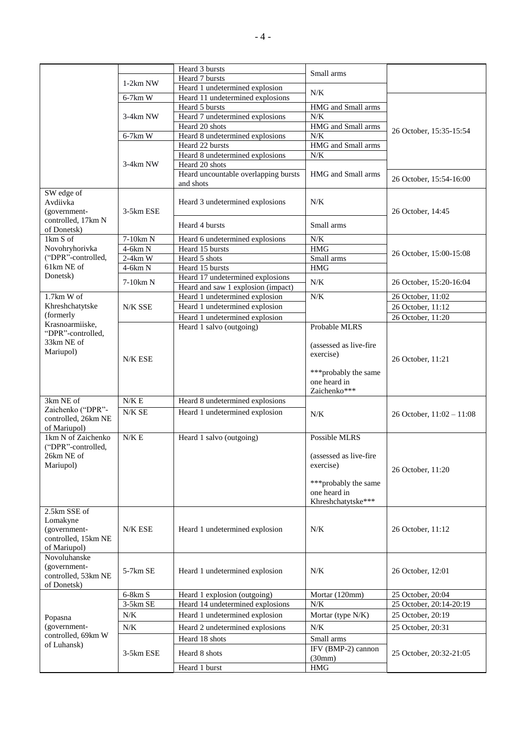|                                    |               | Heard 3 bursts                       | Small arms              |                             |
|------------------------------------|---------------|--------------------------------------|-------------------------|-----------------------------|
|                                    | $1-2km$ NW    | Heard 7 bursts                       |                         |                             |
|                                    |               | Heard 1 undetermined explosion       | $N/K$                   |                             |
|                                    | 6-7km W       | Heard 11 undetermined explosions     |                         |                             |
|                                    |               | Heard 5 bursts                       | HMG and Small arms      |                             |
|                                    | 3-4km NW      | Heard 7 undetermined explosions      | $N/K$                   |                             |
|                                    |               | Heard 20 shots                       | HMG and Small arms      | 26 October, 15:35-15:54     |
|                                    | 6-7km W       | Heard 8 undetermined explosions      | N/K                     |                             |
|                                    |               | Heard 22 bursts                      | HMG and Small arms      |                             |
|                                    |               | Heard 8 undetermined explosions      | $N/K$                   |                             |
|                                    | 3-4km NW      | Heard 20 shots                       |                         |                             |
|                                    |               | Heard uncountable overlapping bursts | HMG and Small arms      | 26 October, 15:54-16:00     |
|                                    |               | and shots                            |                         |                             |
| SW edge of                         |               |                                      |                         |                             |
| Avdiivka                           |               | Heard 3 undetermined explosions      | N/K                     |                             |
| (government-                       | 3-5km ESE     |                                      |                         | 26 October, 14:45           |
| controlled, 17km N                 |               | Heard 4 bursts                       | Small arms              |                             |
| of Donetsk)                        |               |                                      |                         |                             |
| 1km S of                           | 7-10km N      | Heard 6 undetermined explosions      | $N/K$                   |                             |
| Novohryhorivka                     | $4-6km N$     | Heard 15 bursts                      | <b>HMG</b>              | 26 October, 15:00-15:08     |
| ("DPR"-controlled,                 | $2-4km$ W     | Heard 5 shots                        | Small arms              |                             |
| 61km NE of                         | $4-6km N$     | Heard 15 bursts                      | <b>HMG</b>              |                             |
| Donetsk)                           | 7-10km N      | Heard 17 undetermined explosions     | N/K                     | 26 October, 15:20-16:04     |
|                                    |               | Heard and saw 1 explosion (impact)   |                         |                             |
| 1.7km W of                         |               | Heard 1 undetermined explosion       | $N/K$                   | 26 October, 11:02           |
| Khreshchatytske                    | N/K SSE       | Heard 1 undetermined explosion       |                         | 26 October, 11:12           |
| (formerly                          |               | Heard 1 undetermined explosion       |                         | 26 October, 11:20           |
| Krasnoarmiiske,                    |               | Heard 1 salvo (outgoing)             | Probable MLRS           |                             |
| "DPR"-controlled,                  |               |                                      |                         |                             |
| 33km NE of                         |               |                                      | (assessed as live-fire  |                             |
| Mariupol)                          | N/K ESE       |                                      | exercise)               | 26 October, 11:21           |
|                                    |               |                                      |                         |                             |
|                                    |               |                                      | *** probably the same   |                             |
|                                    |               |                                      | one heard in            |                             |
|                                    |               |                                      | Zaichenko***            |                             |
| 3km NE of                          | ${\rm N/K}$ E | Heard 8 undetermined explosions      |                         |                             |
| Zaichenko ("DPR"-                  | $N/K$ SE $\,$ | Heard 1 undetermined explosion       | N/K                     | 26 October, $11:02 - 11:08$ |
| controlled, 26km NE                |               |                                      |                         |                             |
| of Mariupol)<br>1km N of Zaichenko | $N/K \to$     |                                      | <b>Possible MLRS</b>    |                             |
|                                    |               | Heard 1 salvo (outgoing)             |                         |                             |
| ("DPR"-controlled,<br>26km NE of   |               |                                      | (assessed as live-fire) |                             |
| Mariupol)                          |               |                                      | exercise)               |                             |
|                                    |               |                                      |                         | 26 October, 11:20           |
|                                    |               |                                      | ***probably the same    |                             |
|                                    |               |                                      | one heard in            |                             |
|                                    |               |                                      | Khreshchatytske***      |                             |
| 2.5km SSE of                       |               |                                      |                         |                             |
| Lomakyne                           |               |                                      |                         |                             |
| (government-                       | N/K ESE       | Heard 1 undetermined explosion       | N/K                     | 26 October, 11:12           |
| controlled, 15km NE                |               |                                      |                         |                             |
| of Mariupol)                       |               |                                      |                         |                             |
| Novoluhanske                       |               |                                      |                         |                             |
| (government-                       |               |                                      |                         |                             |
| controlled, 53km NE                | 5-7km SE      | Heard 1 undetermined explosion       | N/K                     | 26 October, 12:01           |
| of Donetsk)                        |               |                                      |                         |                             |
|                                    | $6-8km S$     | Heard 1 explosion (outgoing)         | Mortar (120mm)          | 25 October, 20:04           |
|                                    | 3-5km SE      | Heard 14 undetermined explosions     | $N/K$                   | 25 October, 20:14-20:19     |
| Popasna                            | N/K           | Heard 1 undetermined explosion       | Mortar (type N/K)       | 25 October, 20:19           |
| (government-                       | N/K           |                                      | N/K                     |                             |
| controlled, 69km W                 |               | Heard 2 undetermined explosions      |                         | 25 October, 20:31           |
| of Luhansk)                        |               | Heard 18 shots                       | Small arms              |                             |
|                                    | 3-5km ESE     | Heard 8 shots                        | IFV (BMP-2) cannon      | 25 October, 20:32-21:05     |
|                                    |               |                                      | (30mm)                  |                             |
|                                    |               | Heard 1 burst                        | $\rm{HMG}$              |                             |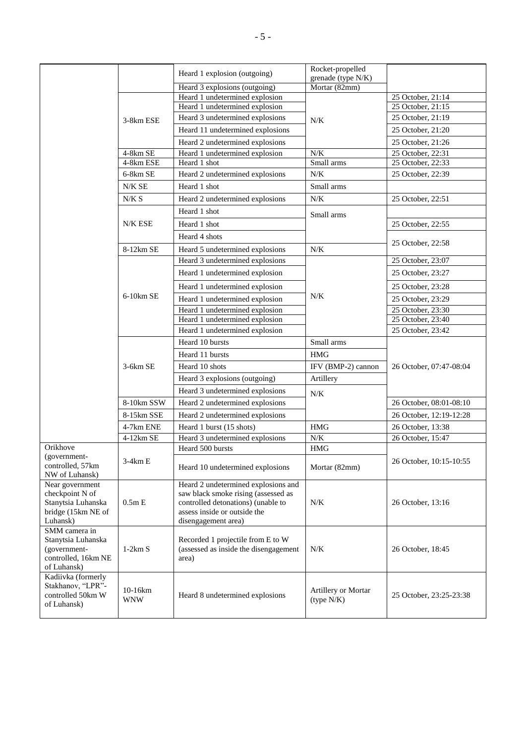|                                                                                            |                       | Heard 1 explosion (outgoing)                                                                                                                                            | Rocket-propelled                    |                         |
|--------------------------------------------------------------------------------------------|-----------------------|-------------------------------------------------------------------------------------------------------------------------------------------------------------------------|-------------------------------------|-------------------------|
|                                                                                            |                       |                                                                                                                                                                         | grenade (type N/K)<br>Mortar (82mm) |                         |
|                                                                                            |                       | Heard 3 explosions (outgoing)<br>Heard 1 undetermined explosion                                                                                                         |                                     | 25 October, 21:14       |
|                                                                                            | 3-8km ESE             | Heard 1 undetermined explosion                                                                                                                                          |                                     | 25 October, 21:15       |
|                                                                                            |                       | Heard 3 undetermined explosions                                                                                                                                         | N/K                                 | 25 October, 21:19       |
|                                                                                            |                       | Heard 11 undetermined explosions                                                                                                                                        |                                     | 25 October, 21:20       |
|                                                                                            |                       | Heard 2 undetermined explosions                                                                                                                                         |                                     | 25 October, 21:26       |
|                                                                                            | 4-8km SE              | Heard 1 undetermined explosion                                                                                                                                          | N/K                                 | 25 October, 22:31       |
|                                                                                            | 4-8km ESE             | Heard 1 shot                                                                                                                                                            | Small arms                          | 25 October, 22:33       |
|                                                                                            | 6-8km SE              | Heard 2 undetermined explosions                                                                                                                                         | N/K                                 | 25 October, 22:39       |
|                                                                                            | $N/K$ SE $\,$         | Heard 1 shot                                                                                                                                                            | Small arms                          |                         |
|                                                                                            | N/K S                 | Heard 2 undetermined explosions                                                                                                                                         | N/K                                 | 25 October, 22:51       |
|                                                                                            |                       | Heard 1 shot                                                                                                                                                            | Small arms                          |                         |
|                                                                                            | N/K ESE               | Heard 1 shot                                                                                                                                                            |                                     | 25 October, 22:55       |
|                                                                                            |                       | Heard 4 shots                                                                                                                                                           |                                     |                         |
|                                                                                            | 8-12km SE             | Heard 5 undetermined explosions                                                                                                                                         | N/K                                 | 25 October, 22:58       |
|                                                                                            |                       | Heard 3 undetermined explosions                                                                                                                                         |                                     | 25 October, 23:07       |
|                                                                                            |                       | Heard 1 undetermined explosion                                                                                                                                          |                                     | 25 October, 23:27       |
|                                                                                            |                       | Heard 1 undetermined explosion                                                                                                                                          |                                     | 25 October, 23:28       |
|                                                                                            | $6-10km$ SE           | Heard 1 undetermined explosion                                                                                                                                          | N/K                                 | 25 October, 23:29       |
|                                                                                            |                       | Heard 1 undetermined explosion                                                                                                                                          |                                     | 25 October, 23:30       |
|                                                                                            |                       | Heard 1 undetermined explosion                                                                                                                                          |                                     | 25 October, 23:40       |
|                                                                                            |                       | Heard 1 undetermined explosion                                                                                                                                          |                                     | 25 October, 23:42       |
|                                                                                            |                       | Heard 10 bursts                                                                                                                                                         | Small arms                          |                         |
|                                                                                            |                       | Heard 11 bursts                                                                                                                                                         | <b>HMG</b>                          |                         |
|                                                                                            | $3-6km$ SE            | Heard 10 shots                                                                                                                                                          | IFV (BMP-2) cannon                  | 26 October, 07:47-08:04 |
|                                                                                            |                       | Heard 3 explosions (outgoing)                                                                                                                                           | Artillery                           |                         |
|                                                                                            |                       | Heard 3 undetermined explosions                                                                                                                                         | N/K                                 |                         |
|                                                                                            | 8-10km SSW            | Heard 2 undetermined explosions                                                                                                                                         |                                     | 26 October, 08:01-08:10 |
|                                                                                            | 8-15km SSE            | Heard 2 undetermined explosions                                                                                                                                         |                                     | 26 October, 12:19-12:28 |
|                                                                                            | 4-7km ENE             | Heard 1 burst (15 shots)                                                                                                                                                | <b>HMG</b>                          | 26 October, 13:38       |
|                                                                                            | 4-12km SE             | Heard 3 undetermined explosions                                                                                                                                         | ${\rm N/K}$                         | 26 October, 15:47       |
| Orikhove                                                                                   |                       | Heard 500 bursts                                                                                                                                                        | <b>HMG</b>                          |                         |
| (government-<br>controlled, 57km<br>NW of Luhansk)                                         | 3-4km E               | Heard 10 undetermined explosions                                                                                                                                        | Mortar (82mm)                       | 26 October, 10:15-10:55 |
| Near government<br>checkpoint N of<br>Stanytsia Luhanska<br>bridge (15km NE of<br>Luhansk) | 0.5mE                 | Heard 2 undetermined explosions and<br>saw black smoke rising (assessed as<br>controlled detonations) (unable to<br>assess inside or outside the<br>disengagement area) | N/K                                 | 26 October, 13:16       |
| SMM camera in<br>Stanytsia Luhanska<br>(government-<br>controlled, 16km NE<br>of Luhansk)  | $1-2km S$             | Recorded 1 projectile from E to W<br>(assessed as inside the disengagement<br>area)                                                                                     | N/K                                 | 26 October, 18:45       |
| Kadiivka (formerly<br>Stakhanov, "LPR"-<br>controlled 50km W<br>of Luhansk)                | 10-16km<br><b>WNW</b> | Heard 8 undetermined explosions                                                                                                                                         | Artillery or Mortar<br>(type N/K)   | 25 October, 23:25-23:38 |